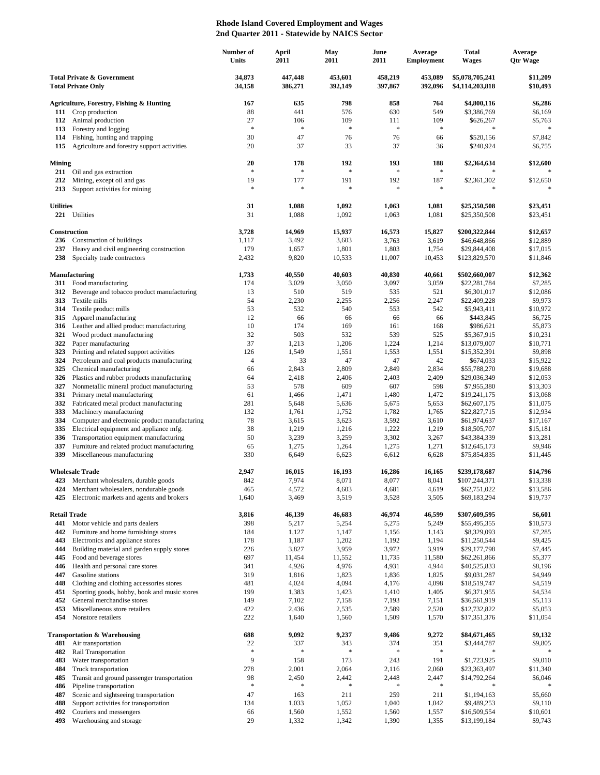## **Rhode Island Covered Employment and Wages 2nd Quarter 2011 - Statewide by NAICS Sector**

|                                                                    |                                                                                       | Number of<br><b>Units</b> | April<br>2011       | May<br>2011        | June<br>2011       | Average<br><b>Employment</b> | <b>Total</b><br><b>Wages</b>       | Average<br><b>Qtr Wage</b> |
|--------------------------------------------------------------------|---------------------------------------------------------------------------------------|---------------------------|---------------------|--------------------|--------------------|------------------------------|------------------------------------|----------------------------|
| <b>Total Private &amp; Government</b><br><b>Total Private Only</b> |                                                                                       | 34,873<br>34,158          | 447,448<br>386,271  | 453,601<br>392,149 | 458,219<br>397,867 | 453,089<br>392,096           | \$5,078,705,241<br>\$4,114,203,818 | \$11,209<br>\$10,493       |
|                                                                    | Agriculture, Forestry, Fishing & Hunting                                              | 167                       | 635                 | 798                | 858                | 764                          | \$4,800,116                        | \$6,286                    |
|                                                                    | 111 Crop production                                                                   | 88                        | 441                 | 576                | 630                | 549                          | \$3,386,769                        | \$6,169                    |
| 112                                                                | Animal production                                                                     | 27                        | 106                 | 109                | 111                | 109                          | \$626,267                          | \$5,763                    |
| 113                                                                | Forestry and logging                                                                  | $\ast$                    | $\ast$              | $\ast$             | $\approx$          | $\ast$                       | $\mathcal{S}$                      | $\ast$                     |
| 114                                                                | Fishing, hunting and trapping                                                         | 30                        | 47                  | 76                 | 76                 | 66                           | \$520,156                          | \$7,842                    |
| 115                                                                | Agriculture and forestry support activities                                           | 20                        | 37                  | 33                 | 37                 | 36                           | \$240,924                          | \$6,755                    |
| <b>Mining</b><br>211                                               | Oil and gas extraction                                                                | 20<br>$\ast$              | 178<br>$\mathbf{g}$ | 192<br>$\ast$      | 193<br>$\ast$      | 188<br>$\ast$                | \$2,364,634                        | \$12,600                   |
| 212<br>213                                                         | Mining, except oil and gas<br>Support activities for mining                           | 19<br>$\ast$              | 177<br>$\ast$       | 191<br>$\ast$      | 192<br>$\ast$      | 187<br>$\ast$                | \$2,361,302<br>$\mathcal{S}$       | \$12,650                   |
| <b>Utilities</b>                                                   |                                                                                       | 31                        | 1,088               | 1,092              | 1,063              | 1,081                        | \$25,350,508                       | \$23,451                   |
| 221                                                                | Utilities                                                                             | 31                        | 1,088               | 1,092              | 1,063              | 1,081                        | \$25,350,508                       | \$23,451                   |
|                                                                    | Construction                                                                          | 3,728                     | 14,969              | 15,937             | 16,573             | 15,827                       | \$200,322,844                      | \$12,657                   |
| 236                                                                | Construction of buildings                                                             | 1,117                     | 3,492               | 3,603              | 3,763              | 3,619                        | \$46,648,866                       | \$12,889                   |
| 237                                                                | Heavy and civil engineering construction                                              | 179                       | 1,657               | 1,801              | 1,803              | 1,754                        | \$29,844,408                       | \$17,015                   |
| 238                                                                | Specialty trade contractors                                                           | 2,432                     | 9,820               | 10,533             | 11,007             | 10,453                       | \$123,829,570                      | \$11,846                   |
|                                                                    | <b>Manufacturing</b>                                                                  | 1,733                     | 40,550              | 40,603             | 40,830             | 40,661                       | \$502,660,007                      | \$12,362                   |
| 311                                                                | Food manufacturing                                                                    | 174                       | 3,029               | 3,050              | 3,097              | 3,059                        | \$22,281,784                       | \$7,285                    |
| 312<br>313                                                         | Beverage and tobacco product manufacturing<br>Textile mills                           | 13<br>54                  | 510<br>2,230        | 519<br>2,255       | 535<br>2,256       | 521<br>2,247                 | \$6,301,017<br>\$22,409,228        | \$12,086<br>\$9,973        |
| 314                                                                | Textile product mills                                                                 | 53                        | 532                 | 540                | 553                | 542                          | \$5,943,411                        | \$10,972                   |
| 315                                                                | Apparel manufacturing                                                                 | 12                        | 66                  | 66                 | 66                 | 66                           | \$443,845                          | \$6,725                    |
| 316                                                                | Leather and allied product manufacturing                                              | 10                        | 174                 | 169                | 161                | 168                          | \$986,621                          | \$5,873                    |
| 321                                                                | Wood product manufacturing                                                            | 32                        | 503                 | 532                | 539                | 525                          | \$5,367,915                        | \$10,231                   |
| 322                                                                | Paper manufacturing                                                                   | 37                        | 1,213               | 1,206              | 1,224              | 1,214                        | \$13,079,007                       | \$10,771                   |
| 323                                                                | Printing and related support activities                                               | 126                       | 1,549               | 1,551              | 1,553              | 1,551                        | \$15,352,391                       | \$9,898                    |
| 324                                                                | Petroleum and coal products manufacturing                                             | $\overline{4}$            | 33<br>2,843         | 47<br>2,809        | 47<br>2,849        | 42                           | \$674,033                          | \$15,922                   |
| 325<br>326                                                         | Chemical manufacturing<br>Plastics and rubber products manufacturing                  | 66<br>64                  | 2,418               | 2,406              | 2,403              | 2,834<br>2,409               | \$55,788,270<br>\$29,036,349       | \$19,688<br>\$12,053       |
| 327                                                                | Nonmetallic mineral product manufacturing                                             | 53                        | 578                 | 609                | 607                | 598                          | \$7,955,380                        | \$13,303                   |
| 331                                                                | Primary metal manufacturing                                                           | 61                        | 1,466               | 1,471              | 1,480              | 1,472                        | \$19,241,175                       | \$13,068                   |
| 332                                                                | Fabricated metal product manufacturing                                                | 281                       | 5,648               | 5,636              | 5,675              | 5,653                        | \$62,607,175                       | \$11,075                   |
| 333                                                                | Machinery manufacturing                                                               | 132                       | 1,761               | 1,752              | 1,782              | 1,765                        | \$22,827,715                       | \$12,934                   |
| 334                                                                | Computer and electronic product manufacturing                                         | 78                        | 3,615               | 3,623              | 3,592              | 3,610                        | \$61,974,637                       | \$17,167                   |
| 335                                                                | Electrical equipment and appliance mfg.                                               | 38                        | 1,219               | 1,216              | 1,222              | 1,219                        | \$18,505,707                       | \$15,181                   |
| 336<br>337                                                         | Transportation equipment manufacturing<br>Furniture and related product manufacturing | 50<br>65                  | 3,239<br>1,275      | 3,259<br>1,264     | 3,302<br>1,275     | 3,267<br>1,271               | \$43,384,339<br>\$12,645,173       | \$13,281<br>\$9,946        |
| 339                                                                | Miscellaneous manufacturing                                                           | 330                       | 6,649               | 6,623              | 6,612              | 6,628                        | \$75,854,835                       | \$11,445                   |
|                                                                    | <b>Wholesale Trade</b>                                                                | 2,947                     | 16,015              | 16,193             | 16,286             | 16,165                       | \$239,178,687                      | \$14,796                   |
|                                                                    | 423 Merchant wholesalers, durable goods                                               | 842                       | 7,974               | 8,071              | 8,077              | 8,041                        | \$107,244,371                      | \$13,338                   |
| 424                                                                | Merchant wholesalers, nondurable goods                                                | 465                       | 4,572               | 4,603              | 4,681              | 4,619                        | \$62,751,022                       | \$13,586                   |
| 425                                                                | Electronic markets and agents and brokers                                             | 1,640                     | 3,469               | 3,519              | 3,528              | 3,505                        | \$69,183,294                       | \$19,737                   |
|                                                                    | <b>Retail Trade</b>                                                                   | 3,816                     | 46,139              | 46,683             | 46,974             | 46,599                       | \$307,609,595                      | \$6,601                    |
| 441<br>442                                                         | Motor vehicle and parts dealers                                                       | 398<br>184                | 5,217               | 5,254              | 5,275              | 5,249                        | \$55,495,355                       | \$10,573                   |
| 443                                                                | Furniture and home furnishings stores<br>Electronics and appliance stores             | 178                       | 1,127<br>1,187      | 1,147<br>1,202     | 1,156<br>1,192     | 1,143<br>1,194               | \$8,329,093<br>\$11,250,544        | \$7,285<br>\$9,425         |
| 444                                                                | Building material and garden supply stores                                            | 226                       | 3,827               | 3,959              | 3,972              | 3,919                        | \$29,177,798                       | \$7,445                    |
| 445                                                                | Food and beverage stores                                                              | 697                       | 11,454              | 11,552             | 11,735             | 11,580                       | \$62,261,866                       | \$5,377                    |
| 446                                                                | Health and personal care stores                                                       | 341                       | 4,926               | 4,976              | 4,931              | 4,944                        | \$40,525,833                       | \$8,196                    |
| 447                                                                | Gasoline stations                                                                     | 319                       | 1,816               | 1,823              | 1,836              | 1,825                        | \$9,031,287                        | \$4,949                    |
| 448                                                                | Clothing and clothing accessories stores                                              | 481                       | 4,024               | 4,094              | 4,176              | 4,098                        | \$18,519,747                       | \$4,519                    |
| 451<br>452                                                         | Sporting goods, hobby, book and music stores<br>General merchandise stores            | 199<br>149                | 1,383<br>7,102      | 1,423<br>7,158     | 1,410<br>7,193     | 1,405<br>7,151               | \$6,371,955<br>\$36,561,919        | \$4,534<br>\$5,113         |
| 453                                                                | Miscellaneous store retailers                                                         | 422                       | 2,436               | 2,535              | 2,589              | 2,520                        | \$12,732,822                       | \$5,053                    |
| 454                                                                | Nonstore retailers                                                                    | 222                       | 1,640               | 1,560              | 1,509              | 1,570                        | \$17,351,376                       | \$11,054                   |
|                                                                    | Transportation & Warehousing                                                          | 688                       | 9,092               | 9,237              | 9,486              | 9,272                        | \$84,671,465                       | \$9,132                    |
| 481                                                                | Air transportation                                                                    | 22                        | 337<br>$\ast$       | 343<br>$\ast$      | 374                | 351                          | \$3,444,787                        | \$9,805                    |
| 482                                                                | Rail Transportation                                                                   | $\ast$<br>9               |                     |                    | \$                 | $\frac{1}{2}$                |                                    |                            |
| 483<br>484                                                         | Water transportation<br>Truck transportation                                          | 278                       | 158<br>2,001        | 173<br>2,064       | 243<br>2,116       | 191<br>2,060                 | \$1,723,925<br>\$23,363,497        | \$9,010<br>\$11,340        |
| 485                                                                | Transit and ground passenger transportation                                           | 98                        | 2,450               | 2,442              | 2,448              | 2,447                        | \$14,792,264                       | \$6,046                    |
| 486                                                                | Pipeline transportation                                                               | $\frac{1}{2}$             | $\ast$              | $\ast$             | ÷                  | $\ast$                       |                                    |                            |
| 487                                                                | Scenic and sightseeing transportation                                                 | 47                        | 163                 | 211                | 259                | 211                          | \$1,194,163                        | \$5,660                    |
| 488                                                                | Support activities for transportation                                                 | 134                       | 1,033               | 1,052              | 1,040              | 1,042                        | \$9,489,253                        | \$9,110                    |
| 492                                                                | Couriers and messengers                                                               | 66                        | 1,560               | 1,552              | 1,560              | 1,557                        | \$16,509,554                       | \$10,601                   |
| 493                                                                | Warehousing and storage                                                               | 29                        | 1,332               | 1,342              | 1,390              | 1,355                        | \$13,199,184                       | \$9,743                    |